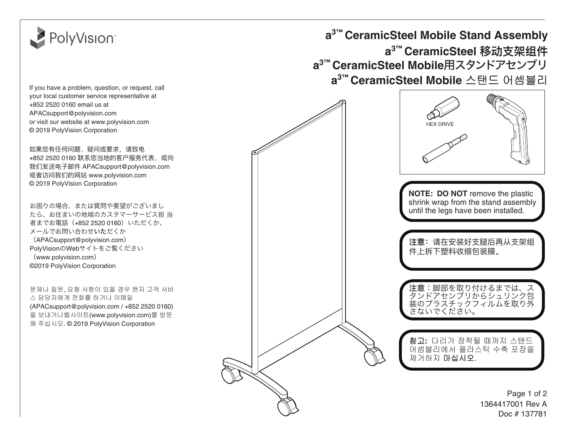

If you have a problem, question, or request, call your local customer service representative at +852 2520 0160 email us at APAC[support@polyvision.com](http://EMEAsupport@polyvision.com) or visit our website at [www.polyvision.com](http://www.polyvision.com) © 2019 PolyVision Corporation

如果您有任何问题、疑问或要求,请致电 +852 2520 0160 联系您当地的客户服务代表, 或向 我们发送电子邮件 APAC[support@polyvision.com](http://EMEAsupport@polyvision.com) 或者访问我们的网站 [www.polyvision.com](http://www.polyvision.com) © 2019 PolyVision Corporation

お困りの場合、または質問や要望がございまし たら、お住まいの地域のカスタマーサービス担 当 者までお電話(+852 2520 0160)いただくか、 メールでお問い合わせいただくか (APAC[support@polyvision.com](http://EMEAsupport@polyvision.com)) PolyVisionのWebサイトをご覧ください ([www.polyvision.com](http://www.polyvision.com)) ©2019 PolyVision Corporation

문제나 질문, 요청 사항이 있을 경우 현지 고객 서비 스 담당자에게 전화를 하거나 이메일 (APAC[support@polyvision.com](http://EMEAsupport@polyvision.com) / +852 2520 0160) 을 보내거나웹사이트(www.polyvision.com)를 방문 해 주십시오. [© 2019 PolyVision Corporation](http://www.polyvision.com)